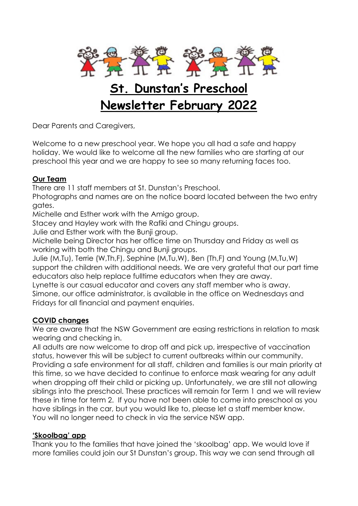

# **St. Dunstan's Preschool Newsletter February 2022**

Dear Parents and Caregivers,

Welcome to a new preschool year. We hope you all had a safe and happy holiday. We would like to welcome all the new families who are starting at our preschool this year and we are happy to see so many returning faces too.

## **Our Team**

There are 11 staff members at St. Dunstan's Preschool.

Photographs and names are on the notice board located between the two entry gates.

Michelle and Esther work with the Amigo group.

Stacey and Hayley work with the Rafiki and Chingu groups.

Julie and Esther work with the Bunji group.

Michelle being Director has her office time on Thursday and Friday as well as working with both the Chingu and Bunji groups.

Julie (M,Tu), Terrie (W,Th,F), Sephine (M,Tu,W), Ben (Th,F) and Young (M,Tu,W) support the children with additional needs. We are very grateful that our part time educators also help replace fulltime educators when they are away.

Lynette is our casual educator and covers any staff member who is away.

Simone, our office administrator, is available in the office on Wednesdays and Fridays for all financial and payment enquiries.

## **COVID changes**

We are aware that the NSW Government are easing restrictions in relation to mask wearing and checking in.

All adults are now welcome to drop off and pick up, irrespective of vaccination status, however this will be subject to current outbreaks within our community. Providing a safe environment for all staff, children and families is our main priority at this time, so we have decided to continue to enforce mask wearing for any adult when dropping off their child or picking up. Unfortunately, we are still not allowing siblings into the preschool. These practices will remain for Term 1 and we will review these in time for term 2. If you have not been able to come into preschool as you have siblings in the car, but you would like to, please let a staff member know. You will no longer need to check in via the service NSW app.

## **'Skoolbag' app**

Thank you to the families that have joined the 'skoolbag' app. We would love if more families could join our St Dunstan's group. This way we can send through all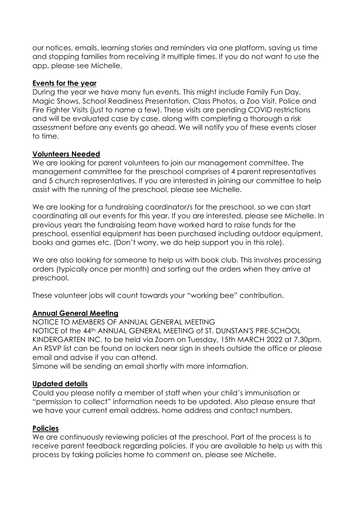our notices, emails, learning stories and reminders via one platform, saving us time and stopping families from receiving it multiple times. If you do not want to use the app, please see Michelle.

### **Events for the year**

During the year we have many fun events. This might include Family Fun Day, Magic Shows, School Readiness Presentation, Class Photos, a Zoo Visit, Police and Fire Fighter Visits (just to name a few). These visits are pending COVID restrictions and will be evaluated case by case, along with completing a thorough a risk assessment before any events go ahead. We will notify you of these events closer to time.

#### **Volunteers Needed**

We are looking for parent volunteers to join our management committee. The management committee for the preschool comprises of 4 parent representatives and 5 church representatives. If you are interested in joining our committee to help assist with the running of the preschool, please see Michelle.

We are looking for a fundraising coordinator/s for the preschool, so we can start coordinating all our events for this year. If you are interested, please see Michelle. In previous years the fundraising team have worked hard to raise funds for the preschool, essential equipment has been purchased including outdoor equipment, books and games etc. (Don't worry, we do help support you in this role).

We are also looking for someone to help us with book club. This involves processing orders (typically once per month) and sorting out the orders when they arrive at preschool.

These volunteer jobs will count towards your "working bee" contribution.

### **Annual General Meeting**

NOTICE TO MEMBERS OF ANNUAL GENERAL MEETING

NOTICE of the 44th ANNUAL GENERAL MEETING of ST. DUNSTAN'S PRE-SCHOOL KINDERGARTEN INC. to be held via Zoom on Tuesday, 15th MARCH 2022 at 7.30pm. An RSVP list can be found on lockers near sign in sheets outside the office or please email and advise if you can attend.

Simone will be sending an email shortly with more information.

#### **Updated details**

Could you please notify a member of staff when your child's immunisation or "permission to collect" information needs to be updated. Also please ensure that we have your current email address, home address and contact numbers.

### **Policies**

We are continuously reviewing policies at the preschool. Part of the process is to receive parent feedback regarding policies. If you are available to help us with this process by taking policies home to comment on, please see Michelle.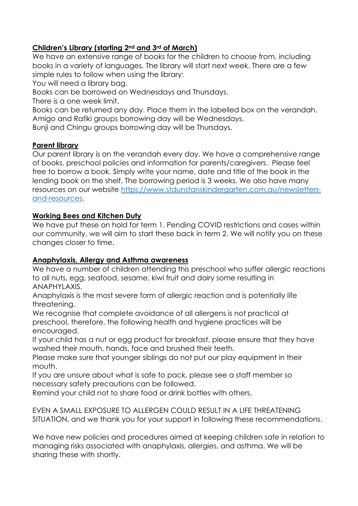## **Children's Library (starting 2nd and 3rd of March)**

We have an extensive range of books for the children to choose from, including books in a variety of languages. The library will start next week. There are a few simple rules to follow when using the library:

You will need a library bag.

Books can be borrowed on Wednesdays and Thursdays.

There is a one week limit.

Books can be returned any day. Place them in the labelled box on the verandah. Amigo and Rafiki groups borrowing day will be Wednesdays.

Bunji and Chingu groups borrowing day will be Thursdays.

## **Parent library**

Our parent library is on the verandah every day. We have a comprehensive range of books, preschool policies and information for parents/caregivers. Please feel free to borrow a book. Simply write your name, date and title of the book in the lending book on the shelf. The borrowing period is 3 weeks. We also have many resources on our website [https://www.stdunstanskindergarten.com.au/newsletters](https://www.stdunstanskindergarten.com.au/newsletters-and-resources)[and-resources.](https://www.stdunstanskindergarten.com.au/newsletters-and-resources)

## **Working Bees and Kitchen Duty**

We have put these on hold for term 1. Pending COVID restrictions and cases within our community, we will aim to start these back in term 2. We will notify you on these changes closer to time.

## **Anaphylaxis, Allergy and Asthma awareness**

We have a number of children attending this preschool who suffer allergic reactions to all nuts, egg, seafood, sesame, kiwi fruit and dairy some resulting in ANAPHYLAXIS.

Anaphylaxis is the most severe form of allergic reaction and is potentially life threatening.

We recognise that complete avoidance of all allergens is not practical at preschool, therefore, the following health and hygiene practices will be encouraged.

If your child has a nut or egg product for breakfast, please ensure that they have washed their mouth, hands, face and brushed their teeth.

Please make sure that younger siblings do not put our play equipment in their mouth.

If you are unsure about what is safe to pack, please see a staff member so necessary safety precautions can be followed.

Remind your child not to share food or drink bottles with others.

EVEN A SMALL EXPOSURE TO ALLERGEN COULD RESULT IN A LIFE THREATENING SITUATION, and we thank you for your support in following these recommendations.

We have new policies and procedures aimed at keeping children safe in relation to managing risks associated with anaphylaxis, allergies, and asthma. We will be sharing these with shortly.